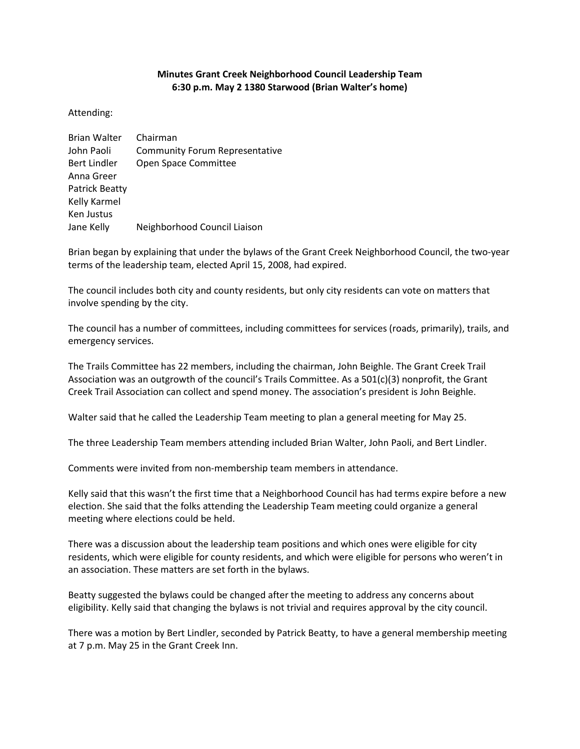## **Minutes Grant Creek Neighborhood Council Leadership Team 6:30 p.m. May 2 1380 Starwood (Brian Walter's home)**

## Attending:

| <b>Brian Walter</b>   | Chairman                              |
|-----------------------|---------------------------------------|
| John Paoli            | <b>Community Forum Representative</b> |
| <b>Bert Lindler</b>   | Open Space Committee                  |
| Anna Greer            |                                       |
| <b>Patrick Beatty</b> |                                       |
| Kelly Karmel          |                                       |
| Ken Justus            |                                       |
| Jane Kelly            | Neighborhood Council Liaison          |
|                       |                                       |

Brian began by explaining that under the bylaws of the Grant Creek Neighborhood Council, the two-year terms of the leadership team, elected April 15, 2008, had expired.

The council includes both city and county residents, but only city residents can vote on matters that involve spending by the city.

The council has a number of committees, including committees for services (roads, primarily), trails, and emergency services.

The Trails Committee has 22 members, including the chairman, John Beighle. The Grant Creek Trail Association was an outgrowth of the council's Trails Committee. As a 501(c)(3) nonprofit, the Grant Creek Trail Association can collect and spend money. The association's president is John Beighle.

Walter said that he called the Leadership Team meeting to plan a general meeting for May 25.

The three Leadership Team members attending included Brian Walter, John Paoli, and Bert Lindler.

Comments were invited from non-membership team members in attendance.

Kelly said that this wasn't the first time that a Neighborhood Council has had terms expire before a new election. She said that the folks attending the Leadership Team meeting could organize a general meeting where elections could be held.

There was a discussion about the leadership team positions and which ones were eligible for city residents, which were eligible for county residents, and which were eligible for persons who weren't in an association. These matters are set forth in the bylaws.

Beatty suggested the bylaws could be changed after the meeting to address any concerns about eligibility. Kelly said that changing the bylaws is not trivial and requires approval by the city council.

There was a motion by Bert Lindler, seconded by Patrick Beatty, to have a general membership meeting at 7 p.m. May 25 in the Grant Creek Inn.